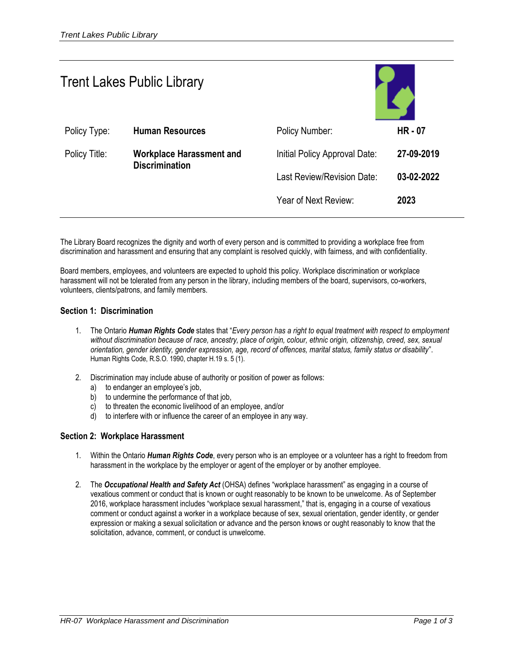| <b>Trent Lakes Public Library</b> |                                                          |                               |            |
|-----------------------------------|----------------------------------------------------------|-------------------------------|------------|
| Policy Type:                      | <b>Human Resources</b>                                   | Policy Number:                | $HR - 07$  |
| Policy Title:                     | <b>Workplace Harassment and</b><br><b>Discrimination</b> | Initial Policy Approval Date: | 27-09-2019 |
|                                   |                                                          | Last Review/Revision Date:    | 03-02-2022 |
|                                   |                                                          | Year of Next Review:          | 2023       |
|                                   |                                                          |                               |            |

The Library Board recognizes the dignity and worth of every person and is committed to providing a workplace free from discrimination and harassment and ensuring that any complaint is resolved quickly, with fairness, and with confidentiality.

Board members, employees, and volunteers are expected to uphold this policy. Workplace discrimination or workplace harassment will not be tolerated from any person in the library, including members of the board, supervisors, co-workers, volunteers, clients/patrons, and family members.

### **Section 1: Discrimination**

- 1. The Ontario *Human Rights Code* states that "*Every person has a right to equal treatment with respect to employment without discrimination because of race, ancestry, place of origin, colour, ethnic origin, citizenship, creed, sex, sexual orientation, gender identity, gender expression, age, record of offences, marital status, family status or disability*". Human Rights Code, R.S.O. 1990, chapter H.19 s. 5 (1).
- 2. Discrimination may include abuse of authority or position of power as follows:
	- a) to endanger an employee's job,
	- b) to undermine the performance of that job,
	- c) to threaten the economic livelihood of an employee, and/or
	- d) to interfere with or influence the career of an employee in any way.

#### **Section 2: Workplace Harassment**

- 1. Within the Ontario *Human Rights Code*, every person who is an employee or a volunteer has a right to freedom from harassment in the workplace by the employer or agent of the employer or by another employee.
- 2. The *Occupational Health and Safety Act* (OHSA) defines "workplace harassment" as engaging in a course of vexatious comment or conduct that is known or ought reasonably to be known to be unwelcome. As of September 2016, workplace harassment includes "workplace sexual harassment," that is, engaging in a course of vexatious comment or conduct against a worker in a workplace because of sex, sexual orientation, gender identity, or gender expression or making a sexual solicitation or advance and the person knows or ought reasonably to know that the solicitation, advance, comment, or conduct is unwelcome.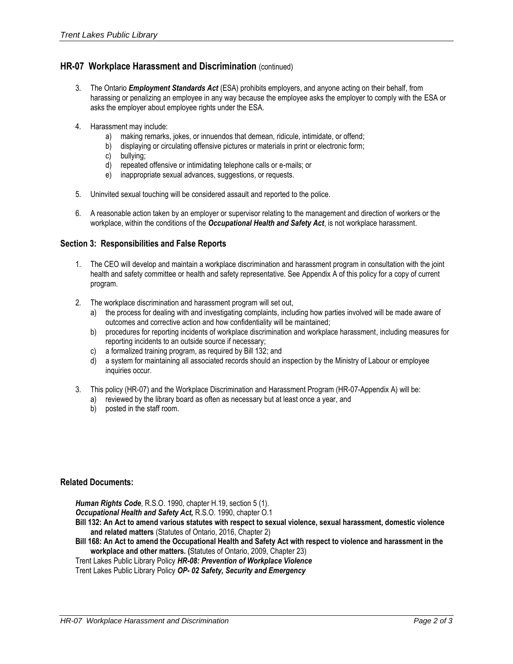# **HR-07 Workplace Harassment and Discrimination** (continued)

- 3. The Ontario *Employment Standards Act* (ESA) prohibits employers, and anyone acting on their behalf, from harassing or penalizing an employee in any way because the employee asks the employer to comply with the ESA or asks the employer about employee rights under the ESA.
- 4. Harassment may include:
	- a) making remarks, jokes, or innuendos that demean, ridicule, intimidate, or offend;
	- b) displaying or circulating offensive pictures or materials in print or electronic form;
	- c) bullying;
	- d) repeated offensive or intimidating telephone calls or e-mails; or
	- e) inappropriate sexual advances, suggestions, or requests.
- 5. Uninvited sexual touching will be considered assault and reported to the police.
- 6. A reasonable action taken by an employer or supervisor relating to the management and direction of workers or the workplace, within the conditions of the *Occupational Health and Safety Act*, is not workplace harassment.

## **Section 3: Responsibilities and False Reports**

- 1. The CEO will develop and maintain a workplace discrimination and harassment program in consultation with the joint health and safety committee or health and safety representative. See Appendix A of this policy for a copy of current program.
- 2. The workplace discrimination and harassment program will set out,
	- a) the process for dealing with and investigating complaints, including how parties involved will be made aware of outcomes and corrective action and how confidentiality will be maintained;
	- b) procedures for reporting incidents of workplace discrimination and workplace harassment, including measures for reporting incidents to an outside source if necessary;
	- c) a formalized training program, as required by Bill 132; and
	- d) a system for maintaining all associated records should an inspection by the Ministry of Labour or employee inquiries occur.
- 3. This policy (HR-07) and the Workplace Discrimination and Harassment Program (HR-07-Appendix A) will be:
	- a) reviewed by the library board as often as necessary but at least once a year, and
	- b) posted in the staff room.

#### **Related Documents:**

*Human Rights Code*, R.S.O. 1990, chapter H.19, section 5 (1).

*Occupational Health and Safety Act,* R.S.O. 1990, chapter O.1

- **Bill 132: An Act to amend various statutes with respect to sexual violence, sexual harassment, domestic violence and related matters** (Statutes of Ontario, 2016, Chapter 2)
- **Bill 168: An Act to amend the Occupational Health and Safety Act with respect to violence and harassment in the workplace and other matters. (**Statutes of Ontario, 2009, Chapter 23)

Trent Lakes Public Library Policy *HR-08: Prevention of Workplace Violence*

Trent Lakes Public Library Policy *OP- 02 Safety, Security and Emergency*